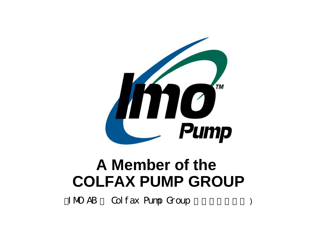

IMO AB Colfax Pump Group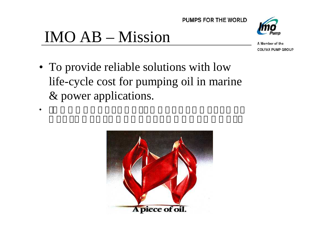



•



A Member of the **COLFAX PUMP GROUP** 

• To provide reliable solutions with low life-cycle cost for pumping oil in marine & power applications.

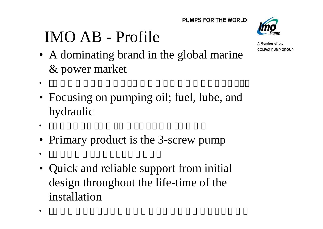# IMO AB - Profile



A Member of the **COLFAX PUMP GROUP** 

- A dominating brand in the global marine & power market
- Focusing on pumping oil; fuel, lube, and hydraulic
- •

•

- Primary product is the 3-screw pump
- •

•

• Quick and reliable support from initial design throughout the life-time of the installation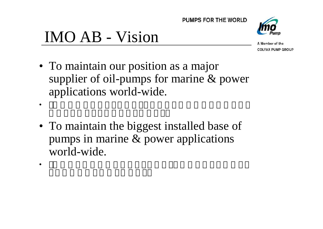

## IMO AB - Vision

•

•



- To maintain our position as a major supplier of oil-pumps for marine & power applications world-wide.
- To maintain the biggest installed base of pumps in marine & power applications world-wide.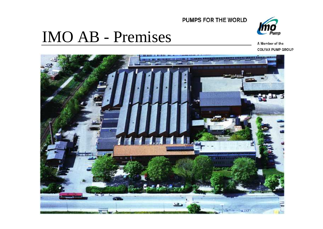

### IMO AB - Premises



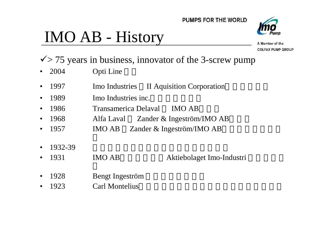# IMO AB - History



- $\sqrt{}$  > 75 years in business, innovator of the 3-screw pump
- 2004 Opti Line
- 1997 Imo Industries II Aquisition Corporation
- 1989 Imo Industries inc.
- 1986 Transamerica Delaval IMO AB
- 1968 Alfa Laval Zander & Ingeström/IMO AB
- 1957 IMO AB Zander & Ingeström/IMO AB
- 1932-39
- 1931 IMO AB Aktiebolaget Imo-Industri
- 1928 Bengt Ingeström
- 1923 Carl Montelius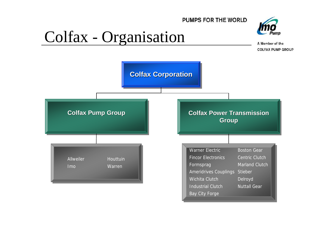

### Colfax - Organisation



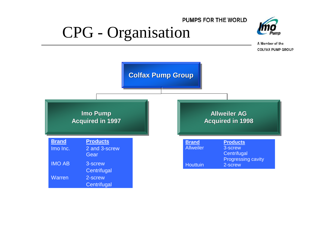### PUMPS FOR THE WORLD CPG - Organisation



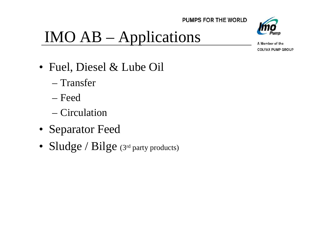



# IMO AB – Applications

- Fuel, Diesel & Lube Oil
	- Transfer
	- Feed
	- Circulation
- Separator Feed
- Sludge / Bilge (3rd party products)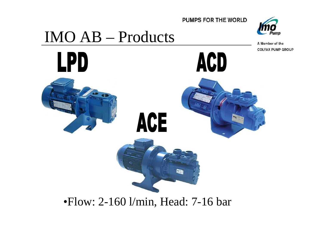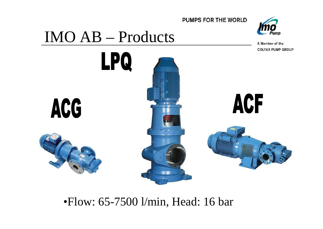





•Flow: 65-7500 l/min, Head: 16 bar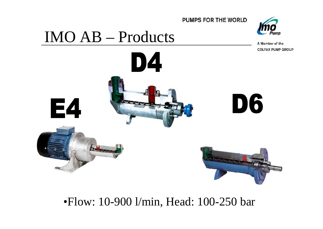

A Member of the **COLFAX PUMP GROUP** 

# IMO AB – Products



#### •Flow: 10-900 l/min, Head: 100-250 bar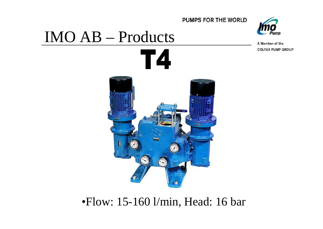

A Member of the **COLFAX PUMP GROUP** 

# IMO AB – Products



•Flow: 15-160 l/min, Head: 16 bar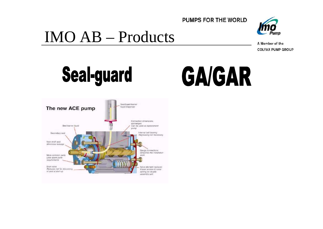

## IMO AB – Products







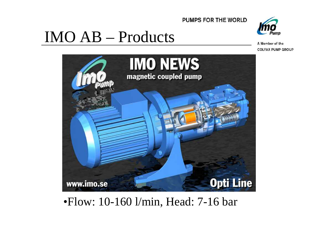

# Pump

A Member of the **COLFAX PUMP GROUP** 



IMO AB – Products

#### •Flow: 10-160 l/min, Head: 7-16 bar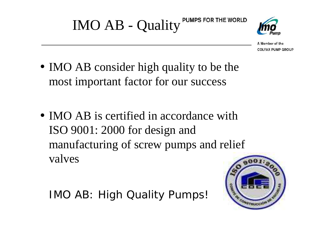

- IMO AB consider high quality to be the most important factor for our success
- **IMO AB** is certified in accordance with ISO 9001: 2000 for design and manufacturing of screw pumps and relief valves

IMO AB: High Quality Pumps!

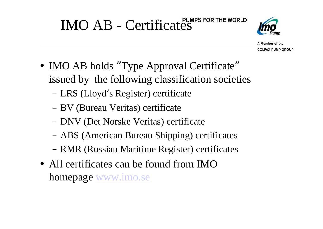

- IMO AB holds "Type Approval Certificate" issued by the following classification societies
	- LRS (Lloyd' s Register) certificate
	- BV (Bureau Veritas) certificate
	- DNV (Det Norske Veritas) certificate
	- ABS (American Bureau Shipping) certificates
	- RMR (Russian Maritime Register) certificates
- All certificates can be found from IMO homepage www.imo.se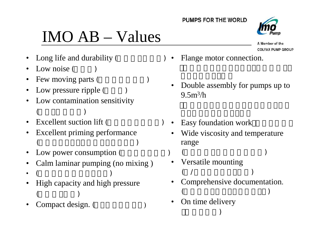# IMO AB – Values

- Long life and durability (
- Low noise (
- Few moving parts (
- Low pressure ripple (
- Low contamination sensitivity  $($
- Excellent suction lift (
- Excellent priming performance  $($
- Low power consumption (
- Calm laminar pumping (no mixing )
- ( )
- High capacity and high pressure  $($
- Compact design. ( ) On time delivery
- Flange motor connection.
- Double assembly for pumps up to  $9.5m^3/h$
- Easy foundation work
	- Wide viscosity and temperature range
	- $($
	- Versatile mounting  $($  /  $)$
	- Comprehensive documentation.  $($

)

On time delivery

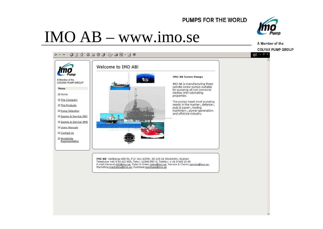### IMO AB – www.imo.se



**图 - 日 ×** 

A Member of the **COLFAX PUMP GROUP** 

↓ · → · ● 6 △ ◎ 1 ◎ 3 B · ● X · 目 #



IMO AB: Västberga Allé 50, P.O. Box 42090, SE-126 14 Stockholm, Sweden<br>Telephone +46 8 50 622 800, Telex: 11548 IMO S, Telefax: + 46 8 645 15 09 E-mail:General: info@imo.se, Sales & Order:sales@imo.se, Service & Claims:service@imo.se, Marketing:marketing@imo.se, Purchase:purchase@imo.se